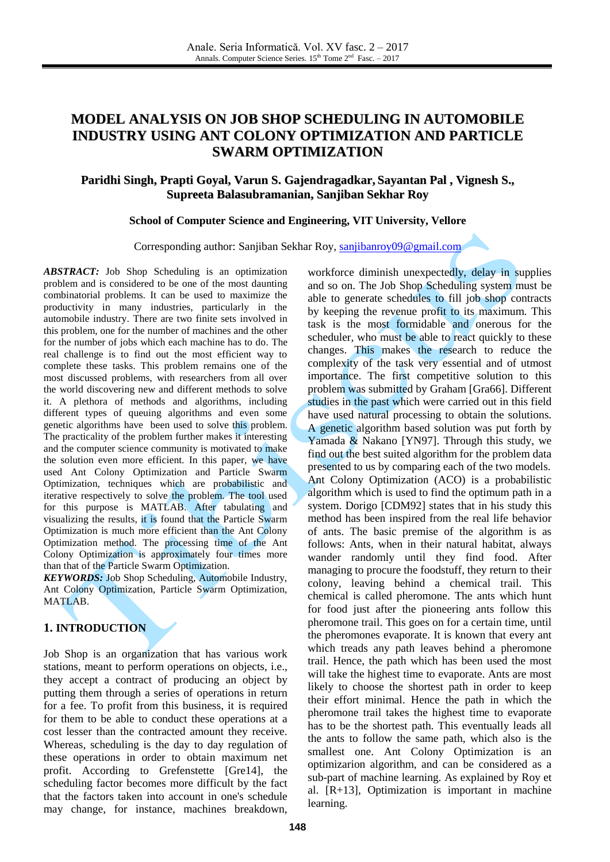# **MODEL ANALYSIS ON JOB SHOP SCHEDULING IN AUTOMOBILE INDUSTRY USING ANT COLONY OPTIMIZATION AND PARTICLE SWARM OPTIMIZATION**

# **Paridhi Singh, Prapti Goyal, Varun S. Gajendragadkar, Sayantan Pal , Vignesh S., Supreeta Balasubramanian, Sanjiban Sekhar Roy**

### **School of Computer Science and Engineering, VIT University, Vellore**

Corresponding author: Sanjiban Sekhar Roy, [sanjibanroy09@gmail.com](mailto:sanjibanroy09@gmail.com)

*ABSTRACT:* Job Shop Scheduling is an optimization problem and is considered to be one of the most daunting combinatorial problems. It can be used to maximize the productivity in many industries, particularly in the automobile industry. There are two finite sets involved in this problem, one for the number of machines and the other for the number of jobs which each machine has to do. The real challenge is to find out the most efficient way to complete these tasks. This problem remains one of the most discussed problems, with researchers from all over the world discovering new and different methods to solve it. A plethora of methods and algorithms, including different types of queuing algorithms and even some genetic algorithms have been used to solve this problem. The practicality of the problem further makes it interesting and the computer science community is motivated to make the solution even more efficient. In this paper, we have used Ant Colony Optimization and Particle Swarm Optimization, techniques which are probabilistic and iterative respectively to solve the problem. The tool used for this purpose is MATLAB. After tabulating and visualizing the results, it is found that the Particle Swarm Optimization is much more efficient than the Ant Colony Optimization method. The processing time of the Ant Colony Optimization is approximately four times more than that of the Particle Swarm Optimization.

*KEYWORDS:* Job Shop Scheduling, Automobile Industry, Ant Colony Optimization, Particle Swarm Optimization, MATLAB.

# **1. INTRODUCTION**

Job Shop is an organization that has various work stations, meant to perform operations on objects, i.e., they accept a contract of producing an object by putting them through a series of operations in return for a fee. To profit from this business, it is required for them to be able to conduct these operations at a cost lesser than the contracted amount they receive. Whereas, scheduling is the day to day regulation of these operations in order to obtain maximum net profit. According to Grefenstette [Gre14], the scheduling factor becomes more difficult by the fact that the factors taken into account in one's schedule may change, for instance, machines breakdown,

workforce diminish unexpectedly, delay in supplies and so on. The Job Shop Scheduling system must be able to generate schedules to fill job shop contracts by keeping the revenue profit to its maximum. This task is the most formidable and onerous for the scheduler, who must be able to react quickly to these changes. This makes the research to reduce the complexity of the task very essential and of utmost importance. The first competitive solution to this problem was submitted by Graham [Gra66]. Different studies in the past which were carried out in this field have used natural processing to obtain the solutions. A genetic algorithm based solution was put forth by Yamada & Nakano [YN97]. Through this study, we find out the best suited algorithm for the problem data presented to us by comparing each of the two models. Ant Colony Optimization (ACO) is a probabilistic algorithm which is used to find the optimum path in a system. Dorigo [CDM92] states that in his study this method has been inspired from the real life behavior of ants. The basic premise of the algorithm is as follows: Ants, when in their natural habitat, always wander randomly until they find food. After managing to procure the foodstuff, they return to their colony, leaving behind a chemical trail. This chemical is called pheromone. The ants which hunt for food just after the pioneering ants follow this pheromone trail. This goes on for a certain time, until the pheromones evaporate. It is known that every ant which treads any path leaves behind a pheromone trail. Hence, the path which has been used the most will take the highest time to evaporate. Ants are most likely to choose the shortest path in order to keep their effort minimal. Hence the path in which the pheromone trail takes the highest time to evaporate has to be the shortest path. This eventually leads all the ants to follow the same path, which also is the smallest one. Ant Colony Optimization is an optimizarion algorithm, and can be considered as a sub-part of machine learning. As explained by Roy et al. [R+13], Optimization is important in machine learning.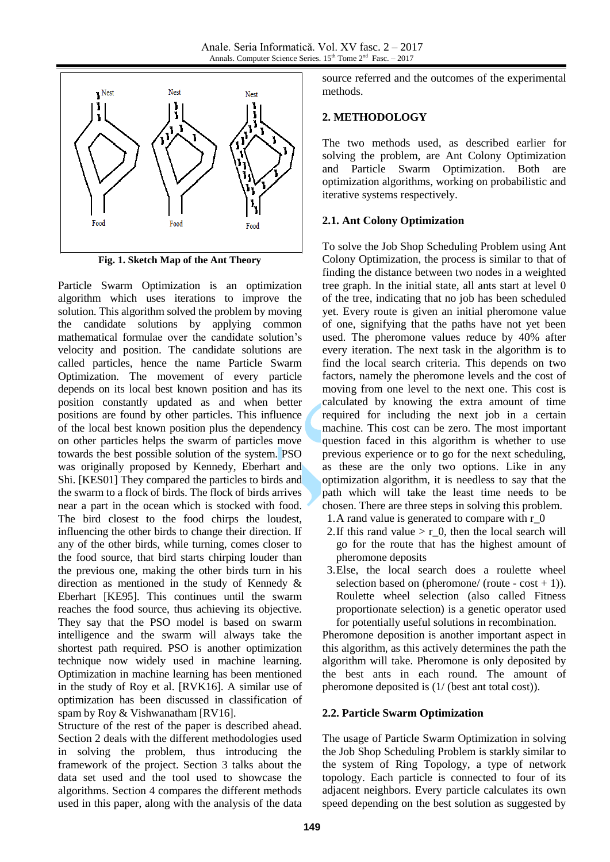

**Fig. 1. Sketch Map of the Ant Theory**

Particle Swarm Optimization is an optimization algorithm which uses iterations to improve the solution. This algorithm solved the problem by moving the candidate solutions by applying common mathematical formulae over the candidate solution's velocity and position. The candidate solutions are called particles, hence the name Particle Swarm Optimization. The movement of every particle depends on its local best known position and has its position constantly updated as and when better positions are found by other particles. This influence of the local best known position plus the dependency on other particles helps the swarm of particles move towards the best possible solution of the system. PSO was originally proposed by Kennedy, Eberhart and Shi. [KES01] They compared the particles to birds and the swarm to a flock of birds. The flock of birds arrives near a part in the ocean which is stocked with food. The bird closest to the food chirps the loudest, influencing the other birds to change their direction. If any of the other birds, while turning, comes closer to the food source, that bird starts chirping louder than the previous one, making the other birds turn in his direction as mentioned in the study of Kennedy & Eberhart [KE95]. This continues until the swarm reaches the food source, thus achieving its objective. They say that the PSO model is based on swarm intelligence and the swarm will always take the shortest path required. PSO is another optimization technique now widely used in machine learning. Optimization in machine learning has been mentioned in the study of Roy et al. [RVK16]. A similar use of optimization has been discussed in classification of spam by Roy & Vishwanatham [RV16].

Structure of the rest of the paper is described ahead. Section 2 deals with the different methodologies used in solving the problem, thus introducing the framework of the project. Section 3 talks about the data set used and the tool used to showcase the algorithms. Section 4 compares the different methods used in this paper, along with the analysis of the data source referred and the outcomes of the experimental methods.

## **2. METHODOLOGY**

The two methods used, as described earlier for solving the problem, are Ant Colony Optimization and Particle Swarm Optimization. Both are optimization algorithms, working on probabilistic and iterative systems respectively.

### **2.1. Ant Colony Optimization**

To solve the Job Shop Scheduling Problem using Ant Colony Optimization, the process is similar to that of finding the distance between two nodes in a weighted tree graph. In the initial state, all ants start at level 0 of the tree, indicating that no job has been scheduled yet. Every route is given an initial pheromone value of one, signifying that the paths have not yet been used. The pheromone values reduce by 40% after every iteration. The next task in the algorithm is to find the local search criteria. This depends on two factors, namely the pheromone levels and the cost of moving from one level to the next one. This cost is calculated by knowing the extra amount of time required for including the next job in a certain machine. This cost can be zero. The most important question faced in this algorithm is whether to use previous experience or to go for the next scheduling, as these are the only two options. Like in any optimization algorithm, it is needless to say that the path which will take the least time needs to be chosen. There are three steps in solving this problem.

- 1.A rand value is generated to compare with r\_0
- 2. If this rand value  $> r_0$ , then the local search will go for the route that has the highest amount of pheromone deposits
- 3.Else, the local search does a roulette wheel selection based on (pheromone/ (route -  $cost + 1$ )). Roulette wheel selection (also called Fitness proportionate selection) is a genetic operator used for potentially useful solutions in recombination.

Pheromone deposition is another important aspect in this algorithm, as this actively determines the path the algorithm will take. Pheromone is only deposited by the best ants in each round. The amount of pheromone deposited is (1/ (best ant total cost)).

# **2.2. Particle Swarm Optimization**

The usage of Particle Swarm Optimization in solving the Job Shop Scheduling Problem is starkly similar to the system of Ring Topology, a type of network topology. Each particle is connected to four of its adjacent neighbors. Every particle calculates its own speed depending on the best solution as suggested by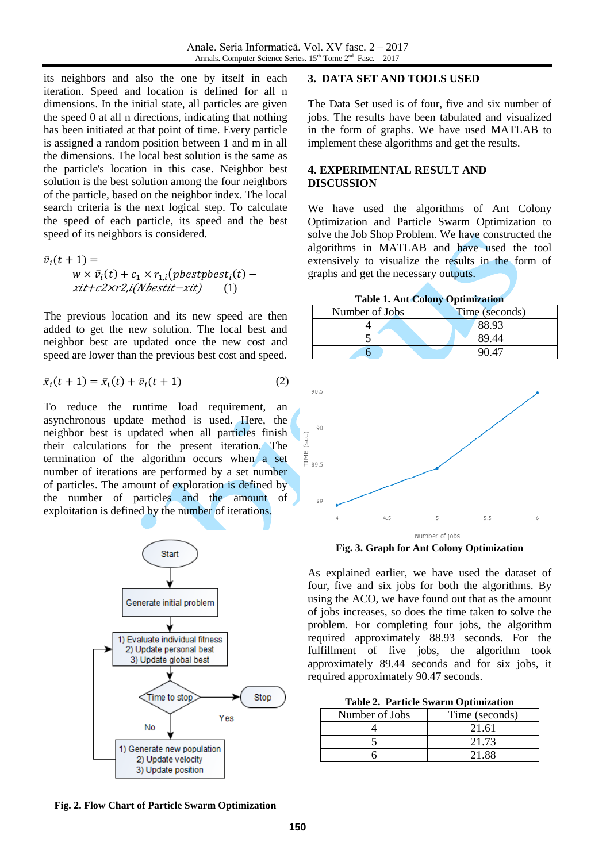its neighbors and also the one by itself in each iteration. Speed and location is defined for all n dimensions. In the initial state, all particles are given the speed 0 at all n directions, indicating that nothing has been initiated at that point of time. Every particle is assigned a random position between 1 and m in all the dimensions. The local best solution is the same as the particle's location in this case. Neighbor best solution is the best solution among the four neighbors of the particle, based on the neighbor index. The local search criteria is the next logical step. To calculate the speed of each particle, its speed and the best speed of its neighbors is considered.

$$
\bar{v}_i(t+1) =
$$
  
\n
$$
w \times \bar{v}_i(t) + c_1 \times r_{1,i} \quad (pbest p best_i(t) -
$$
  
\n
$$
xit + c2 \times r2,i(Nbestit - xit)
$$
 (1)

The previous location and its new speed are then added to get the new solution. The local best and neighbor best are updated once the new cost and speed are lower than the previous best cost and speed.

$$
\bar{x}_i(t+1) = \bar{x}_i(t) + \bar{v}_i(t+1) \tag{2}
$$

To reduce the runtime load requirement, an asynchronous update method is used. Here, the neighbor best is updated when all particles finish their calculations for the present iteration. The termination of the algorithm occurs when a set number of iterations are performed by a set number of particles. The amount of exploration is defined by the number of particles and the amount of exploitation is defined by the number of iterations.



#### **3. DATA SET AND TOOLS USED**

The Data Set used is of four, five and six number of jobs. The results have been tabulated and visualized in the form of graphs. We have used MATLAB to implement these algorithms and get the results.

### **4. EXPERIMENTAL RESULT AND DISCUSSION**

We have used the algorithms of Ant Colony Optimization and Particle Swarm Optimization to solve the Job Shop Problem. We have constructed the algorithms in MATLAB and have used the tool extensively to visualize the results in the form of graphs and get the necessary outputs.

**Table 1. Ant Colony Optimization**

| Number of Jobs | Time (seconds) |
|----------------|----------------|
|                | 88.93          |
|                | 89.44          |
|                |                |



**Fig. 3. Graph for Ant Colony Optimization**

As explained earlier, we have used the dataset of four, five and six jobs for both the algorithms. By using the ACO, we have found out that as the amount of jobs increases, so does the time taken to solve the problem. For completing four jobs, the algorithm required approximately 88.93 seconds. For the fulfillment of five jobs, the algorithm took approximately 89.44 seconds and for six jobs, it required approximately 90.47 seconds.

|  | <b>Table 2. Particle Swarm Optimization</b> |  |
|--|---------------------------------------------|--|
|--|---------------------------------------------|--|

| Number of Jobs | Time (seconds) |
|----------------|----------------|
|                | 21.61          |
|                | 21.73          |
|                | 21.88          |

**Fig. 2. Flow Chart of Particle Swarm Optimization**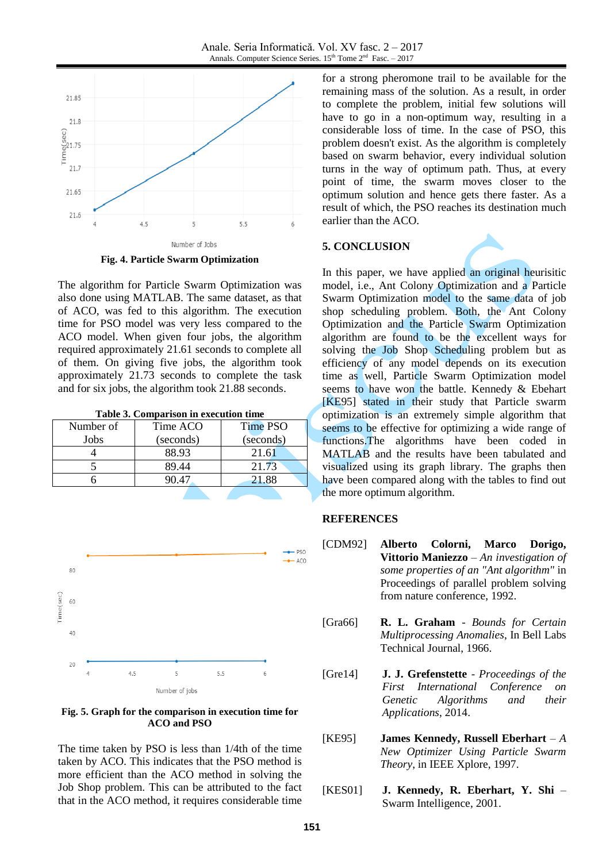

**Fig. 4. Particle Swarm Optimization**

The algorithm for Particle Swarm Optimization was also done using MATLAB. The same dataset, as that of ACO, was fed to this algorithm. The execution time for PSO model was very less compared to the ACO model. When given four jobs, the algorithm required approximately 21.61 seconds to complete all of them. On giving five jobs, the algorithm took approximately 21.73 seconds to complete the task and for six jobs, the algorithm took 21.88 seconds.

|  |  | Table 3. Comparison in execution time |  |
|--|--|---------------------------------------|--|
|--|--|---------------------------------------|--|

| Number of | Time ACO  | Time PSO  |  |
|-----------|-----------|-----------|--|
| Jobs      | (seconds) | (seconds) |  |
|           | 88.93     | 21.61     |  |
|           | 89.44     | 21.73     |  |
|           | 10 47     | 21.88     |  |
|           |           |           |  |



**Fig. 5. Graph for the comparison in execution time for ACO and PSO**

The time taken by PSO is less than 1/4th of the time taken by ACO. This indicates that the PSO method is more efficient than the ACO method in solving the Job Shop problem. This can be attributed to the fact that in the ACO method, it requires considerable time for a strong pheromone trail to be available for the remaining mass of the solution. As a result, in order to complete the problem, initial few solutions will have to go in a non-optimum way, resulting in a considerable loss of time. In the case of PSO, this problem doesn't exist. As the algorithm is completely based on swarm behavior, every individual solution turns in the way of optimum path. Thus, at every point of time, the swarm moves closer to the optimum solution and hence gets there faster. As a result of which, the PSO reaches its destination much earlier than the ACO.

#### **5. CONCLUSION**

In this paper, we have applied an original heurisitic model, i.e., Ant Colony Optimization and a Particle Swarm Optimization model to the same data of job shop scheduling problem. Both, the Ant Colony Optimization and the Particle Swarm Optimization algorithm are found to be the excellent ways for solving the Job Shop Scheduling problem but as efficiency of any model depends on its execution time as well, Particle Swarm Optimization model seems to have won the battle. Kennedy & Ebehart [KE95] stated in their study that Particle swarm optimization is an extremely simple algorithm that seems to be effective for optimizing a wide range of functions.The algorithms have been coded in MATLAB and the results have been tabulated and visualized using its graph library. The graphs then have been compared along with the tables to find out the more optimum algorithm.

#### **REFERENCES**

- [CDM92] **Alberto Colorni, Marco Dorigo, Vittorio Maniezzo** – *An investigation of some properties of an "Ant algorithm"* in Proceedings of parallel problem solving from nature conference, 1992.
- [Gra66] **R. L. Graham** *Bounds for Certain Multiprocessing Anomalies*, In Bell Labs Technical Journal, 1966.
- [Gre14] **J. J. Grefenstette** *[Proceedings of the](https://books.google.co.in/books?hl=en&lr=&id=lI17AgAAQBAJ&oi=fnd&pg=PP1&dq=John+J.+Grefenstette+job+shop+scheduling&ots=0KsWe3O53w&sig=TeUT7Lb9XlXc_qJFnTFAiNLoW2U)  [First International Conference on](https://books.google.co.in/books?hl=en&lr=&id=lI17AgAAQBAJ&oi=fnd&pg=PP1&dq=John+J.+Grefenstette+job+shop+scheduling&ots=0KsWe3O53w&sig=TeUT7Lb9XlXc_qJFnTFAiNLoW2U)  [Genetic Algorithms and their](https://books.google.co.in/books?hl=en&lr=&id=lI17AgAAQBAJ&oi=fnd&pg=PP1&dq=John+J.+Grefenstette+job+shop+scheduling&ots=0KsWe3O53w&sig=TeUT7Lb9XlXc_qJFnTFAiNLoW2U)  [Applications](https://books.google.co.in/books?hl=en&lr=&id=lI17AgAAQBAJ&oi=fnd&pg=PP1&dq=John+J.+Grefenstette+job+shop+scheduling&ots=0KsWe3O53w&sig=TeUT7Lb9XlXc_qJFnTFAiNLoW2U)*, 2014.
- [KE95] **James Kennedy, Russell Eberhart** *A New Optimizer Using Particle Swarm Theory*, in IEEE Xplore, 1997.
- [KES01] **J. Kennedy, R. Eberhart, Y. Shi**  Swarm Intelligence, 2001.